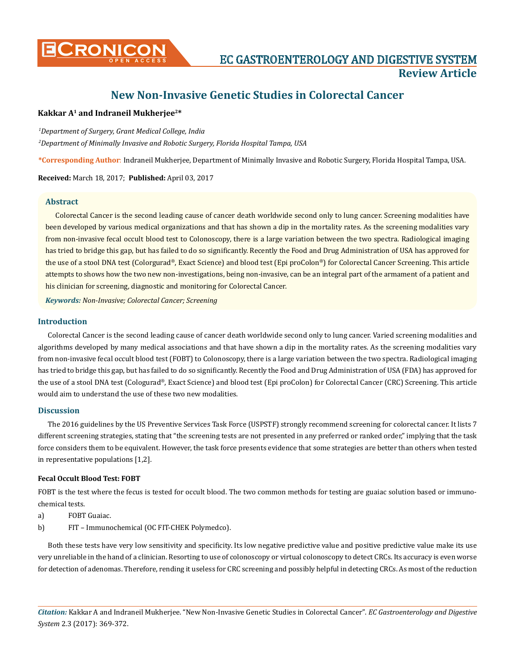

# **New Non-Invasive Genetic Studies in Colorectal Cancer**

# **Kakkar A1 and Indraneil Mukherjee2\***

*1 Department of Surgery, Grant Medical College, India*

*2 Department of Minimally Invasive and Robotic Surgery, Florida Hospital Tampa, USA* 

**\*Corresponding Author**: Indraneil Mukherjee, Department of Minimally Invasive and Robotic Surgery, Florida Hospital Tampa, USA.

**Received:** March 18, 2017; **Published:** April 03, 2017

## **Abstract**

Colorectal Cancer is the second leading cause of cancer death worldwide second only to lung cancer. Screening modalities have been developed by various medical organizations and that has shown a dip in the mortality rates. As the screening modalities vary from non-invasive fecal occult blood test to Colonoscopy, there is a large variation between the two spectra. Radiological imaging has tried to bridge this gap, but has failed to do so significantly. Recently the Food and Drug Administration of USA has approved for the use of a stool DNA test (Colorgurad®, Exact Science) and blood test (Epi proColon®) for Colorectal Cancer Screening. This article attempts to shows how the two new non-investigations, being non-invasive, can be an integral part of the armament of a patient and his clinician for screening, diagnostic and monitoring for Colorectal Cancer.

*Keywords: Non-Invasive; Colorectal Cancer; Screening*

#### **Introduction**

Colorectal Cancer is the second leading cause of cancer death worldwide second only to lung cancer. Varied screening modalities and algorithms developed by many medical associations and that have shown a dip in the mortality rates. As the screening modalities vary from non-invasive fecal occult blood test (FOBT) to Colonoscopy, there is a large variation between the two spectra. Radiological imaging has tried to bridge this gap, but has failed to do so significantly. Recently the Food and Drug Administration of USA (FDA) has approved for the use of a stool DNA test (Cologurad®, Exact Science) and blood test (Epi proColon) for Colorectal Cancer (CRC) Screening. This article would aim to understand the use of these two new modalities.

#### **Discussion**

The 2016 guidelines by the US Preventive Services Task Force (USPSTF) strongly recommend screening for colorectal cancer. It lists 7 different screening strategies, stating that "the screening tests are not presented in any preferred or ranked order," implying that the task force considers them to be equivalent. However, the task force presents evidence that some strategies are better than others when tested in representative populations [1,2].

#### **Fecal Occult Blood Test: FOBT**

FOBT is the test where the fecus is tested for occult blood. The two common methods for testing are guaiac solution based or immunochemical tests.

- a) FOBT Guaiac.
- b) FIT Immunochemical (OC FIT-CHEK Polymedco).

Both these tests have very low sensitivity and specificity. Its low negative predictive value and positive predictive value make its use very unreliable in the hand of a clinician. Resorting to use of colonoscopy or virtual colonoscopy to detect CRCs. Its accuracy is even worse for detection of adenomas. Therefore, rending it useless for CRC screening and possibly helpful in detecting CRCs. As most of the reduction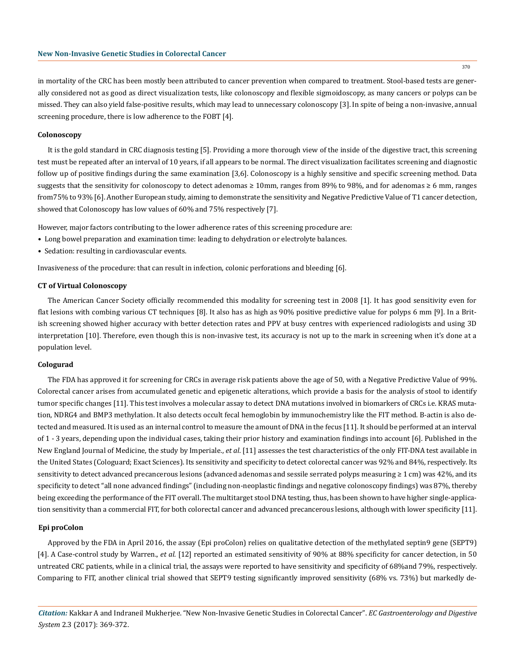in mortality of the CRC has been mostly been attributed to cancer prevention when compared to treatment. Stool-based tests are generally considered not as good as direct visualization tests, like colonoscopy and flexible sigmoidoscopy, as many cancers or polyps can be missed. They can also yield false-positive results, which may lead to unnecessary colonoscopy [3]. In spite of being a non-invasive, annual screening procedure, there is low adherence to the FOBT [4].

#### **Colonoscopy**

It is the gold standard in CRC diagnosis testing [5]. Providing a more thorough view of the inside of the digestive tract, this screening test must be repeated after an interval of 10 years, if all appears to be normal. The direct visualization facilitates screening and diagnostic follow up of positive findings during the same examination [3,6]. Colonoscopy is a highly sensitive and specific screening method. Data suggests that the sensitivity for colonoscopy to detect adenomas ≥ 10mm, ranges from 89% to 98%, and for adenomas ≥ 6 mm, ranges from75% to 93% [6]. Another European study, aiming to demonstrate the sensitivity and Negative Predictive Value of T1 cancer detection, showed that Colonoscopy has low values of 60% and 75% respectively [7].

However, major factors contributing to the lower adherence rates of this screening procedure are:

- Long bowel preparation and examination time: leading to dehydration or electrolyte balances.
- Sedation: resulting in cardiovascular events.

Invasiveness of the procedure: that can result in infection, colonic perforations and bleeding [6].

### **CT of Virtual Colonoscopy**

The American Cancer Society officially recommended this modality for screening test in 2008 [1]. It has good sensitivity even for flat lesions with combing various CT techniques [8]. It also has as high as 90% positive predictive value for polyps 6 mm [9]. In a British screening showed higher accuracy with better detection rates and PPV at busy centres with experienced radiologists and using 3D interpretation [10]. Therefore, even though this is non-invasive test, its accuracy is not up to the mark in screening when it's done at a population level.

#### **Cologurad**

The FDA has approved it for screening for CRCs in average risk patients above the age of 50, with a Negative Predictive Value of 99%. Colorectal cancer arises from accumulated genetic and epigenetic alterations, which provide a basis for the analysis of stool to identify tumor specific changes [11]. This test involves a molecular assay to detect DNA mutations involved in biomarkers of CRCs i.e. KRAS mutation, NDRG4 and BMP3 methylation. It also detects occult fecal hemoglobin by immunochemistry like the FIT method. B-actin is also detected and measured. It is used as an internal control to measure the amount of DNA in the fecus [11]. It should be performed at an interval of 1 - 3 years, depending upon the individual cases, taking their prior history and examination findings into account [6]. Published in the New England Journal of Medicine, the study by Imperiale., *et al*. [11] assesses the test characteristics of the only FIT-DNA test available in the United States (Cologuard; Exact Sciences). Its sensitivity and specificity to detect colorectal cancer was 92% and 84%, respectively. Its sensitivity to detect advanced precancerous lesions (advanced adenomas and sessile serrated polyps measuring ≥ 1 cm) was 42%, and its specificity to detect "all none advanced findings" (including non-neoplastic findings and negative colonoscopy findings) was 87%, thereby being exceeding the performance of the FIT overall. The multitarget stool DNA testing, thus, has been shown to have higher single-application sensitivity than a commercial FIT, for both colorectal cancer and advanced precancerous lesions, although with lower specificity [11].

#### **Epi proColon**

Approved by the FDA in April 2016, the assay (Epi proColon) relies on qualitative detection of the methylated septin9 gene (SEPT9) [4]. A Case-control study by Warren., *et al.* [12] reported an estimated sensitivity of 90% at 88% specificity for cancer detection, in 50 untreated CRC patients, while in a clinical trial, the assays were reported to have sensitivity and specificity of 68%and 79%, respectively. Comparing to FIT, another clinical trial showed that SEPT9 testing significantly improved sensitivity (68% vs. 73%) but markedly de-

*Citation:* Kakkar A and Indraneil Mukherjee. "New Non-Invasive Genetic Studies in Colorectal Cancer". *EC Gastroenterology and Digestive System* 2.3 (2017): 369-372.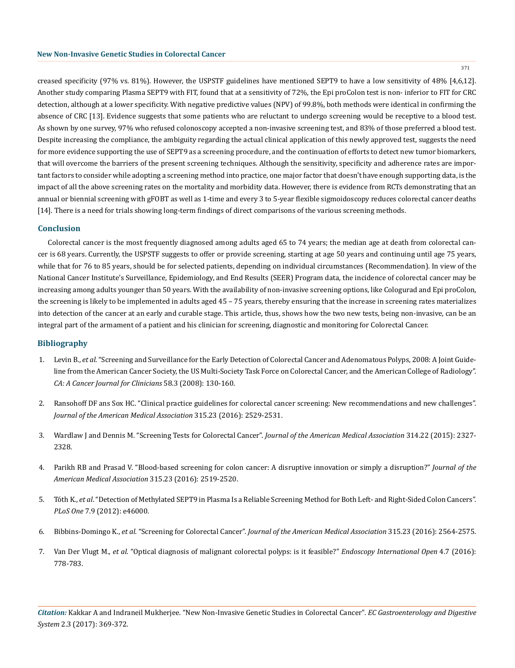371

creased specificity (97% vs. 81%). However, the USPSTF guidelines have mentioned SEPT9 to have a low sensitivity of 48% [4,6,12]. Another study comparing Plasma SEPT9 with FIT, found that at a sensitivity of 72%, the Epi proColon test is non- inferior to FIT for CRC detection, although at a lower specificity. With negative predictive values (NPV) of 99.8%, both methods were identical in confirming the absence of CRC [13]. Evidence suggests that some patients who are reluctant to undergo screening would be receptive to a blood test. As shown by one survey, 97% who refused colonoscopy accepted a non-invasive screening test, and 83% of those preferred a blood test. Despite increasing the compliance, the ambiguity regarding the actual clinical application of this newly approved test, suggests the need for more evidence supporting the use of SEPT9 as a screening procedure, and the continuation of efforts to detect new tumor biomarkers, that will overcome the barriers of the present screening techniques. Although the sensitivity, specificity and adherence rates are important factors to consider while adopting a screening method into practice, one major factor that doesn't have enough supporting data, is the impact of all the above screening rates on the mortality and morbidity data. However, there is evidence from RCTs demonstrating that an annual or biennial screening with gFOBT as well as 1-time and every 3 to 5-year flexible sigmoidoscopy reduces colorectal cancer deaths [14]. There is a need for trials showing long-term findings of direct comparisons of the various screening methods.

#### **Conclusion**

Colorectal cancer is the most frequently diagnosed among adults aged 65 to 74 years; the median age at death from colorectal cancer is 68 years. Currently, the USPSTF suggests to offer or provide screening, starting at age 50 years and continuing until age 75 years, while that for 76 to 85 years, should be for selected patients, depending on individual circumstances (Recommendation). In view of the National Cancer Institute's Surveillance, Epidemiology, and End Results (SEER) Program data, the incidence of colorectal cancer may be increasing among adults younger than 50 years. With the availability of non-invasive screening options, like Cologurad and Epi proColon, the screening is likely to be implemented in adults aged 45 – 75 years, thereby ensuring that the increase in screening rates materializes into detection of the cancer at an early and curable stage. This article, thus, shows how the two new tests, being non-invasive, can be an integral part of the armament of a patient and his clinician for screening, diagnostic and monitoring for Colorectal Cancer.

# **Bibliography**

- 1. Levin B., *et al*[. "Screening and Surveillance for the Early Detection of Colorectal Cancer and Adenomatous Polyps, 2008: A Joint Guide](https://www.ncbi.nlm.nih.gov/pubmed/18322143)[line from the American Cancer Society, the US Multi-Society Task Force on Colorectal Cancer, and the American College of Radiology".](https://www.ncbi.nlm.nih.gov/pubmed/18322143) *[CA: A Cancer Journal for Clinicians](https://www.ncbi.nlm.nih.gov/pubmed/18322143)* 58.3 (2008): 130-160.
- 2. [Ransohoff DF ans Sox HC. "Clinical practice guidelines for colorectal cancer screening: New recommendations and new challenges".](http://jamanetwork.com/journals/jama/fullarticle/2529488) *[Journal of the American Medical Association](http://jamanetwork.com/journals/jama/fullarticle/2529488)* 315.23 (2016): 2529-2531.
- 3. Wardlaw J and Dennis M. "Screening Tests for Colorectal Cancer". *Journal of the American Medical Association* 314.22 (2015): 2327- 2328.
- 4. [Parikh RB and Prasad V. "Blood-based screening for colon cancer: A disruptive innovation or simply a disruption?"](http://jamanetwork.com/journals/jama/fullarticle/2529494) *Journal of the [American Medical Association](http://jamanetwork.com/journals/jama/fullarticle/2529494)* 315.23 (2016): 2519-2520.
- 5. Tóth K., *et al*[. "Detection of Methylated SEPT9 in Plasma Is a Reliable Screening Method for Both Left- and Right-Sided Colon Cancers".](https://www.ncbi.nlm.nih.gov/pubmed/23049919) *PLoS One* [7.9 \(2012\): e46000.](https://www.ncbi.nlm.nih.gov/pubmed/23049919)
- 6. Bibbins-Domingo K., *et al*. "Screening for Colorectal Cancer". *[Journal of the American Medical Association](http://jamanetwork.com/journals/jama/fullarticle/2529486)* 315.23 (2016): 2564-2575.
- 7. Van Der Vlugt M., *et al*[. "Optical diagnosis of malignant colorectal polyps: is it feasible?"](https://www.ncbi.nlm.nih.gov/pmc/articles/PMC4993871/) *Endoscopy International Open* 4.7 (2016): [778-783.](https://www.ncbi.nlm.nih.gov/pmc/articles/PMC4993871/)